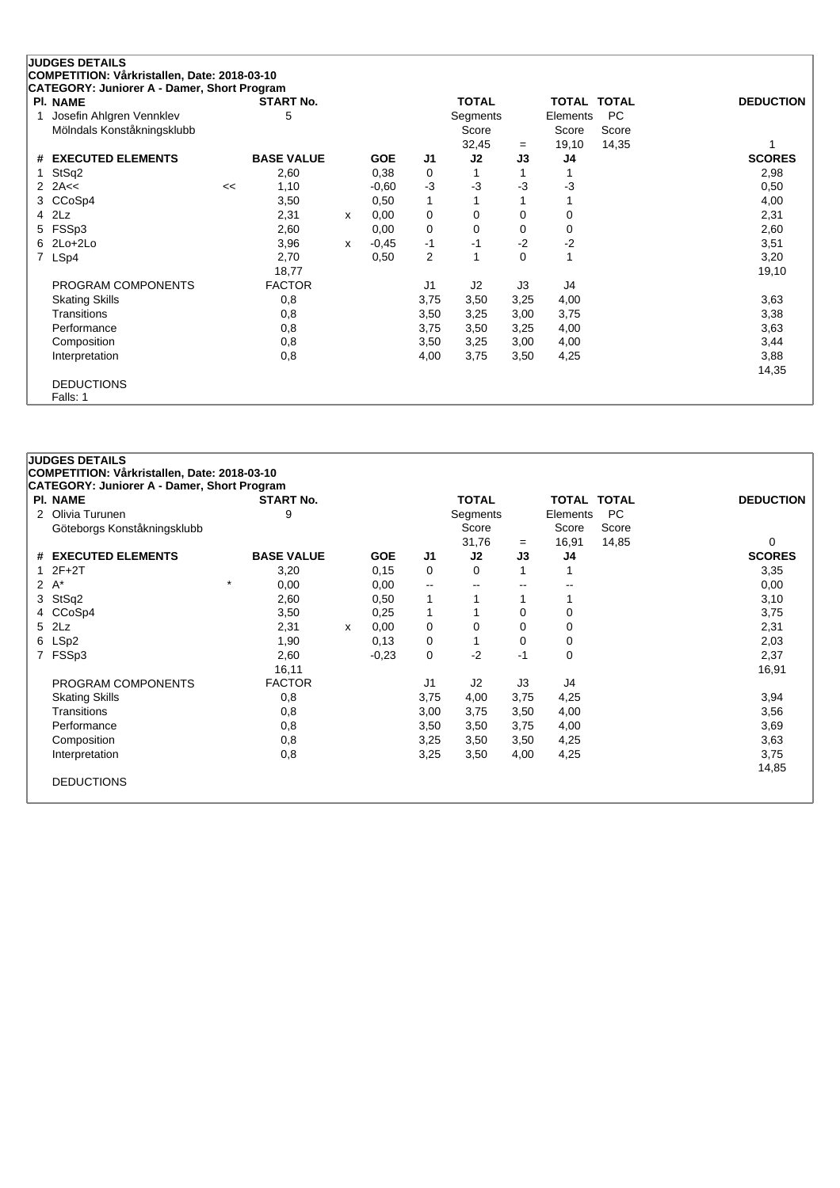|   | <b>JUDGES DETAILS</b>                                                                       |    |                   |   |            |                |                |      |              |              |                  |
|---|---------------------------------------------------------------------------------------------|----|-------------------|---|------------|----------------|----------------|------|--------------|--------------|------------------|
|   | COMPETITION: Vårkristallen, Date: 2018-03-10<br>CATEGORY: Juniorer A - Damer, Short Program |    |                   |   |            |                |                |      |              |              |                  |
|   | PI. NAME                                                                                    |    | <b>START No.</b>  |   |            |                | <b>TOTAL</b>   |      | <b>TOTAL</b> | <b>TOTAL</b> | <b>DEDUCTION</b> |
|   | Josefin Ahlgren Vennklev                                                                    |    | 5                 |   |            |                | Segments       |      | Elements     | PC           |                  |
|   | Mölndals Konståkningsklubb                                                                  |    |                   |   |            |                | Score          |      | Score        | Score        |                  |
|   |                                                                                             |    |                   |   |            |                | 32,45          | $=$  | 19,10        | 14,35        |                  |
|   | # EXECUTED ELEMENTS                                                                         |    | <b>BASE VALUE</b> |   | <b>GOE</b> | J1             | J2             | J3   | J4           |              | <b>SCORES</b>    |
|   | StSq2                                                                                       |    | 2,60              |   | 0,38       | 0              |                |      |              |              | 2,98             |
|   | 2 $2A<<$                                                                                    | << | 1,10              |   | $-0,60$    | $-3$           | $-3$           | -3   | $-3$         |              | 0,50             |
| 3 | CCoSp4                                                                                      |    | 3,50              |   | 0,50       | $\mathbf{1}$   |                |      |              |              | 4,00             |
| 4 | 2Lz                                                                                         |    | 2,31              | X | 0,00       | 0              | 0              | 0    | 0            |              | 2,31             |
| 5 | FSSp3                                                                                       |    | 2,60              |   | 0,00       | 0              | 0              | 0    | 0            |              | 2,60             |
|   | 6 2Lo+2Lo                                                                                   |    | 3,96              | x | $-0,45$    | $-1$           | -1             | $-2$ | $-2$         |              | 3,51             |
| 7 | LSp4                                                                                        |    | 2,70              |   | 0,50       | $\overline{2}$ |                | 0    | 1            |              | 3,20             |
|   |                                                                                             |    | 18,77             |   |            |                |                |      |              |              | 19,10            |
|   | PROGRAM COMPONENTS                                                                          |    | <b>FACTOR</b>     |   |            | J <sub>1</sub> | J <sub>2</sub> | J3   | J4           |              |                  |
|   | <b>Skating Skills</b>                                                                       |    | 0,8               |   |            | 3,75           | 3,50           | 3,25 | 4,00         |              | 3,63             |
|   | Transitions                                                                                 |    | 0,8               |   |            | 3,50           | 3,25           | 3,00 | 3,75         |              | 3,38             |
|   | Performance                                                                                 |    | 0,8               |   |            | 3,75           | 3,50           | 3,25 | 4,00         |              | 3,63             |
|   | Composition                                                                                 |    | 0,8               |   |            | 3,50           | 3,25           | 3,00 | 4,00         |              | 3,44             |
|   | Interpretation                                                                              |    | 0,8               |   |            | 4,00           | 3,75           | 3,50 | 4,25         |              | 3,88             |
|   |                                                                                             |    |                   |   |            |                |                |      |              |              | 14,35            |
|   | <b>DEDUCTIONS</b>                                                                           |    |                   |   |            |                |                |      |              |              |                  |
|   | Falls: 1                                                                                    |    |                   |   |            |                |                |      |              |              |                  |

|                      | <b>JUDGES DETAILS</b>                        |                   |   |            |                          |              |      |                    |       |                  |
|----------------------|----------------------------------------------|-------------------|---|------------|--------------------------|--------------|------|--------------------|-------|------------------|
|                      | COMPETITION: Vårkristallen, Date: 2018-03-10 |                   |   |            |                          |              |      |                    |       |                  |
|                      | CATEGORY: Juniorer A - Damer, Short Program  |                   |   |            |                          |              |      |                    |       |                  |
|                      | <b>PI. NAME</b>                              | <b>START No.</b>  |   |            |                          | <b>TOTAL</b> |      | <b>TOTAL TOTAL</b> |       | <b>DEDUCTION</b> |
|                      | 2 Olivia Turunen                             | 9                 |   |            |                          | Segments     |      | Elements           | PC    |                  |
|                      | Göteborgs Konståkningsklubb                  |                   |   |            |                          | Score        |      | Score              | Score |                  |
|                      |                                              |                   |   |            |                          | 31,76        | $=$  | 16,91              | 14,85 | 0                |
| #                    | <b>EXECUTED ELEMENTS</b>                     | <b>BASE VALUE</b> |   | <b>GOE</b> | J <sub>1</sub>           | J2           | J3   | J4                 |       | <b>SCORES</b>    |
| 1                    | $2F+2T$                                      | 3,20              |   | 0,15       | 0                        | 0            |      |                    |       | 3,35             |
| $\mathbf{2}^{\circ}$ | $A^*$                                        | $\star$<br>0,00   |   | 0,00       | $\overline{\phantom{a}}$ | --           | --   |                    |       | 0,00             |
| 3                    | StSq2                                        | 2,60              |   | 0,50       |                          |              |      |                    |       | 3,10             |
|                      | CCoSp4                                       | 3,50              |   | 0,25       | 1                        |              | 0    | 0                  |       | 3,75             |
| 5                    | 2Lz                                          | 2,31              | x | 0,00       | 0                        | 0            | 0    | 0                  |       | 2,31             |
|                      | 6 LSp2                                       | 1,90              |   | 0,13       | 0                        |              | 0    | 0                  |       | 2,03             |
| $7^{\circ}$          | FSSp3                                        | 2,60              |   | $-0.23$    | $\mathbf 0$              | $-2$         | $-1$ | 0                  |       | 2,37             |
|                      |                                              | 16,11             |   |            |                          |              |      |                    |       | 16,91            |
|                      | PROGRAM COMPONENTS                           | <b>FACTOR</b>     |   |            | J1                       | J2           | J3   | J4                 |       |                  |
|                      | <b>Skating Skills</b>                        | 0,8               |   |            | 3,75                     | 4,00         | 3,75 | 4,25               |       | 3,94             |
|                      | <b>Transitions</b>                           | 0,8               |   |            | 3,00                     | 3,75         | 3,50 | 4,00               |       | 3,56             |
|                      | Performance                                  | 0,8               |   |            | 3,50                     | 3,50         | 3,75 | 4,00               |       | 3,69             |
|                      | Composition                                  | 0,8               |   |            | 3,25                     | 3,50         | 3,50 | 4,25               |       | 3,63             |
|                      | Interpretation                               | 0,8               |   |            | 3,25                     | 3,50         | 4,00 | 4,25               |       | 3,75             |
|                      |                                              |                   |   |            |                          |              |      |                    |       | 14,85            |
|                      | <b>DEDUCTIONS</b>                            |                   |   |            |                          |              |      |                    |       |                  |
|                      |                                              |                   |   |            |                          |              |      |                    |       |                  |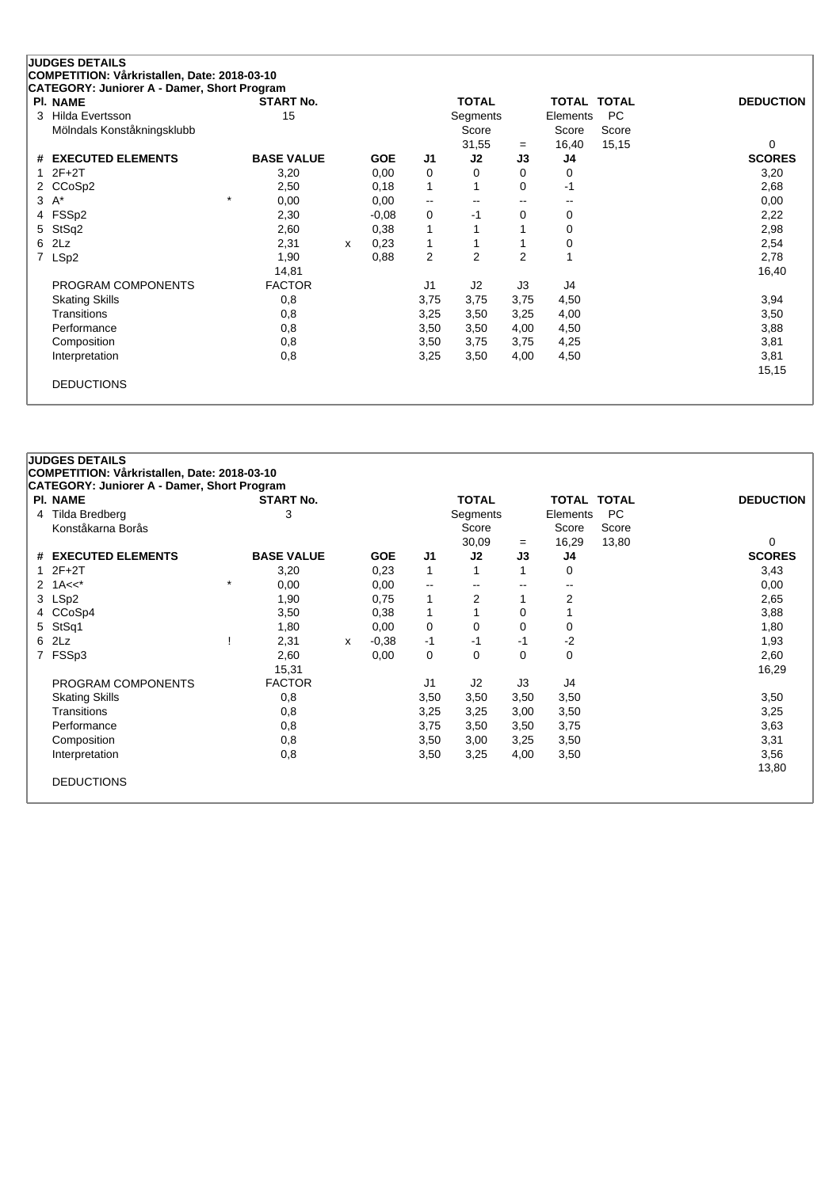| CATEGORY: Juniorer A - Damer, Short Program<br><b>PI. NAME</b> | <b>START No.</b>  |   |            |                          | TOTAL                    |                          | TOTAL TOTAL |       | <b>DEDUCTION</b> |
|----------------------------------------------------------------|-------------------|---|------------|--------------------------|--------------------------|--------------------------|-------------|-------|------------------|
| Hilda Evertsson                                                | 15                |   |            |                          | Segments                 |                          | Elements    | PC.   |                  |
| Mölndals Konståkningsklubb                                     |                   |   |            |                          | Score                    |                          | Score       | Score |                  |
|                                                                |                   |   |            |                          | 31,55                    | $=$                      | 16,40       | 15,15 | 0                |
| <b>EXECUTED ELEMENTS</b><br>#                                  | <b>BASE VALUE</b> |   | <b>GOE</b> | J <sub>1</sub>           | J2                       | J3                       | J4          |       | <b>SCORES</b>    |
| $2F+2T$                                                        | 3,20              |   | 0,00       | 0                        | $\Omega$                 | 0                        | 0           |       | 3,20             |
| 2 CCoSp2                                                       | 2,50              |   | 0,18       |                          | 1                        | 0                        | $-1$        |       | 2,68             |
| $A^*$<br>3                                                     | $\star$<br>0,00   |   | 0,00       | $\overline{\phantom{m}}$ | $\overline{\phantom{a}}$ | $\overline{\phantom{m}}$ | --          |       | 0,00             |
| 4 FSSp2                                                        | 2,30              |   | $-0.08$    | 0                        | -1                       | 0                        | 0           |       | 2,22             |
| StSq2<br>5.                                                    | 2,60              |   | 0,38       |                          |                          |                          | $\mathbf 0$ |       | 2,98             |
| 2Lz<br>6                                                       | 2,31              | X | 0,23       |                          |                          |                          | $\mathbf 0$ |       | 2,54             |
| LSp <sub>2</sub>                                               | 1,90              |   | 0,88       | 2                        | 2                        | $\overline{2}$           | 1           |       | 2,78             |
|                                                                | 14,81             |   |            |                          |                          |                          |             |       | 16,40            |
| PROGRAM COMPONENTS                                             | <b>FACTOR</b>     |   |            | J1                       | J <sub>2</sub>           | J3                       | J4          |       |                  |
| <b>Skating Skills</b>                                          | 0,8               |   |            | 3,75                     | 3,75                     | 3,75                     | 4,50        |       | 3,94             |

Transitions 0,8 3,25 3,50 3,25 4,00 3,50 Performance 0,8 3,50 3,50 4,00 4,50 3,88 Composition 0,8 3,50 3,75 3,75 4,25 3,81 Interpretation 0,8 3,25 3,50 4,00 4,50 3,81

15,15

| <b>DEDUCTIONS</b> |
|-------------------|

| <b>PI. NAME</b> |                       |         | <b>START No.</b>  |   |            |                | <b>TOTAL</b>   |      | <b>TOTAL TOTAL</b> |           | <b>DEDUCTION</b> |
|-----------------|-----------------------|---------|-------------------|---|------------|----------------|----------------|------|--------------------|-----------|------------------|
| 4               | Tilda Bredberg        |         | 3                 |   |            |                | Segments       |      | Elements           | <b>PC</b> |                  |
|                 | Konståkarna Borås     |         |                   |   |            |                | Score          |      | Score              | Score     |                  |
|                 |                       |         |                   |   |            |                | 30,09          | $=$  | 16,29              | 13,80     | $\Omega$         |
|                 | # EXECUTED ELEMENTS   |         | <b>BASE VALUE</b> |   | <b>GOE</b> | J <sub>1</sub> | J2             | J3   | J4                 |           | <b>SCORES</b>    |
| 1               | $2F+2T$               |         | 3,20              |   | 0,23       | 1              |                |      | 0                  |           | 3,43             |
| 2               | $1A<<^*$              | $\star$ | 0,00              |   | 0,00       | --             | --             | --   | --                 |           | 0,00             |
| 3 LSp2          |                       |         | 1,90              |   | 0,75       | 1              | 2              |      | 2                  |           | 2,65             |
|                 | 4 CCoSp4              |         | 3,50              |   | 0,38       | 1              |                | 0    |                    |           | 3,88             |
| 5               | StSq1                 |         | 1,80              |   | 0,00       | 0              | $\Omega$       | 0    | 0                  |           | 1,80             |
| 2Lz<br>6        |                       |         | 2,31              | x | $-0.38$    | $-1$           | -1             | $-1$ | $-2$               |           | 1,93             |
| $\overline{7}$  | FSSp3                 |         | 2,60              |   | 0,00       | 0              | 0              | 0    | 0                  |           | 2,60             |
|                 |                       |         | 15,31             |   |            |                |                |      |                    |           | 16,29            |
|                 | PROGRAM COMPONENTS    |         | <b>FACTOR</b>     |   |            | J1             | J <sub>2</sub> | J3   | J4                 |           |                  |
|                 | <b>Skating Skills</b> |         | 0,8               |   |            | 3,50           | 3,50           | 3,50 | 3,50               |           | 3,50             |
|                 | <b>Transitions</b>    |         | 0,8               |   |            | 3,25           | 3,25           | 3,00 | 3,50               |           | 3,25             |
|                 | Performance           |         | 0,8               |   |            | 3,75           | 3,50           | 3,50 | 3,75               |           | 3,63             |
|                 | Composition           |         | 0,8               |   |            | 3,50           | 3,00           | 3,25 | 3,50               |           | 3,31             |
|                 | Interpretation        |         | 0,8               |   |            | 3,50           | 3,25           | 4,00 | 3,50               |           | 3,56             |
|                 |                       |         |                   |   |            |                |                |      |                    |           | 13,80            |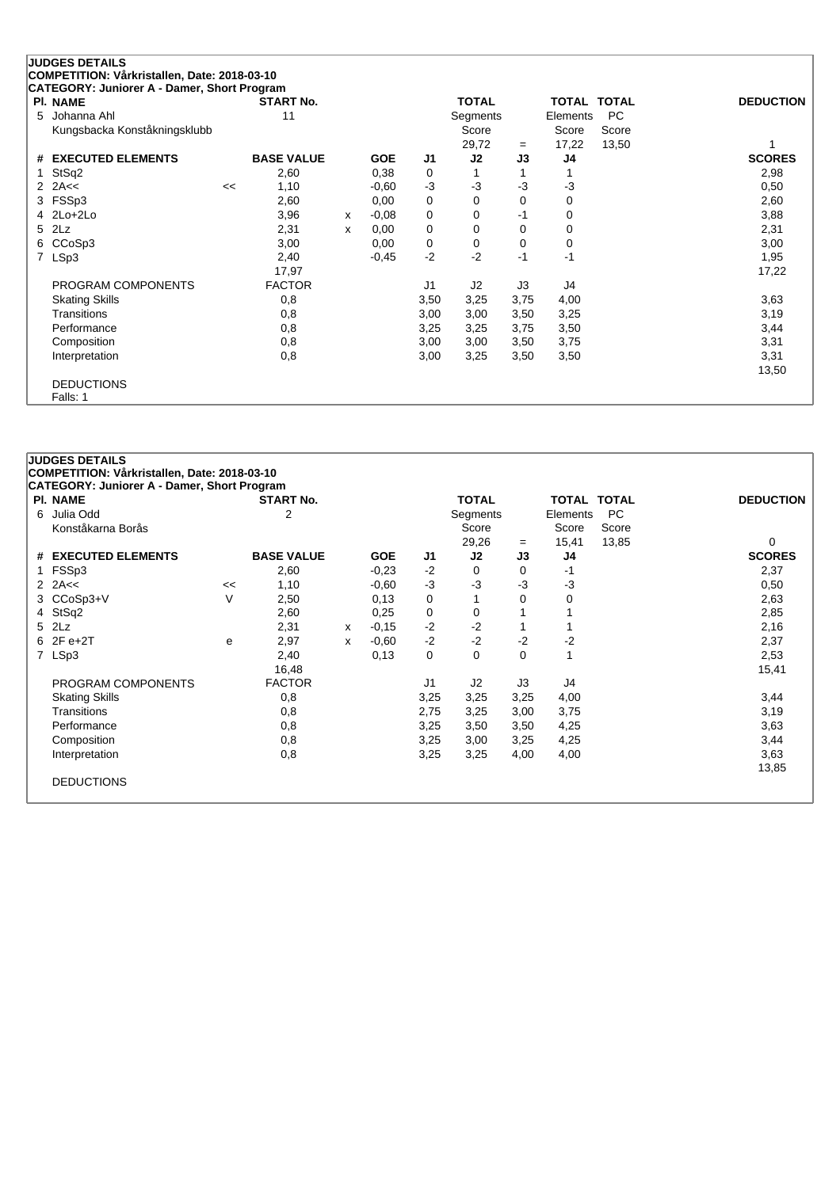## **JUDGES DETAILS COMPETITION: Vårkristallen, Date: 2018-03-10 CATEGORY: Juniorer A - Damer, Short Program Pl. NAME START No. TOTAL TOTAL TOTAL DEDUCTION** 5 Johanna Ahl 11 11 Segments Elements PC Kungsbacka Konståkningsklubb Score Score Score

|                       |    |                   |   |            |                | 29,72          | $=$  | 17,22 | 13,50 |               |
|-----------------------|----|-------------------|---|------------|----------------|----------------|------|-------|-------|---------------|
| # EXECUTED ELEMENTS   |    | <b>BASE VALUE</b> |   | <b>GOE</b> | J <sub>1</sub> | J <sub>2</sub> | J3   | J4    |       | <b>SCORES</b> |
| 1 StSq2               |    | 2,60              |   | 0,38       | 0              |                |      |       |       | 2,98          |
| 2 $2A \leq$           | << | 1,10              |   | $-0.60$    | $-3$           | -3             | -3   | $-3$  |       | 0,50          |
| 3 FSSp3               |    | 2,60              |   | 0,00       | 0              | 0              | 0    | 0     |       | 2,60          |
| $4$ 2Lo+2Lo           |    | 3,96              | х | $-0.08$    | 0              | 0              | $-1$ | 0     |       | 3,88          |
| 5 2Lz                 |    | 2,31              | x | 0,00       | 0              | 0              | 0    | 0     |       | 2,31          |
| 6 CCoSp3              |    | 3,00              |   | 0,00       | 0              | 0              | 0    | 0     |       | 3,00          |
| 7 LSp3                |    | 2,40              |   | $-0.45$    | $-2$           | $-2$           | $-1$ | -1    |       | 1,95          |
|                       |    | 17,97             |   |            |                |                |      |       |       | 17,22         |
| PROGRAM COMPONENTS    |    | <b>FACTOR</b>     |   |            | J1             | J <sub>2</sub> | J3   | J4    |       |               |
| <b>Skating Skills</b> |    | 0,8               |   |            | 3,50           | 3,25           | 3,75 | 4,00  |       | 3,63          |
| Transitions           |    | 0,8               |   |            | 3,00           | 3,00           | 3,50 | 3,25  |       | 3,19          |
| Performance           |    | 0,8               |   |            | 3,25           | 3,25           | 3,75 | 3,50  |       | 3,44          |
| Composition           |    | 0,8               |   |            | 3,00           | 3,00           | 3,50 | 3,75  |       | 3,31          |
| Interpretation        |    | 0,8               |   |            | 3,00           | 3,25           | 3,50 | 3,50  |       | 3,31          |
|                       |    |                   |   |            |                |                |      |       |       | 13,50         |
| <b>DEDUCTIONS</b>     |    |                   |   |            |                |                |      |       |       |               |
| Falls: 1              |    |                   |   |            |                |                |      |       |       |               |

## **COMPETITION: Vårkristallen, Date: 2018-03-10 CATEGORY: Juniorer A - Damer, Short Program Pl. NAME START No. TOTAL TOTAL TOTAL DEDUCTION** 6 Julia Odd 2 Segments Elements PC Konståkarna Borås Score Score Score Score Score Score Score Score Score Score Score Score Score Score Score Score Score Score Score Score Score Score Score Score Score Score Score Score Score Score Score Score Score Score 29,26 <sup>=</sup> 15,41 13,85 0 **# EXECUTED ELEMENTS BASE VALUE GOE J1 J2 J3 J4 SCORES** 1 FSSp3 2,60 -0,23 -2 0 0 -1 2,37 2 2A<< << 1,10 -0,60 -3 -3 -3 -3 0,50 3 CCoSp3+V V 2,50 0,13 0 1 0 0 2,63 4 StSq2 2,60 0,25 0 0 1 1 2,85 5 2Lz 2,31 <sup>x</sup> -0,15 -2 -2 1 1 2,16 6 2F e+2T <sup>e</sup> 2,97 <sup>x</sup> -0,60 -2 -2 -2 -2 2,37 7 LSp3 2,40 0,13 0 0 0 1 2,53 16,48 15,41 PROGRAM COMPONENTS FACTOR J1 J2 J3 J4 Skating Skills 0,8 3,25 3,25 3,25 4,00 3,44 Transitions 0,8 2,75 3,25 3,00 3,75 3,19 Performance 0,8 3,25 3,50 3,50 4,25 3,63 Composition 0,8 3,25 3,00 3,25 4,25 3,44 Interpretation 0,8 3,25 3,25 4,00 4,00 3,63

13,85

DEDUCTIONS

**JUDGES DETAILS**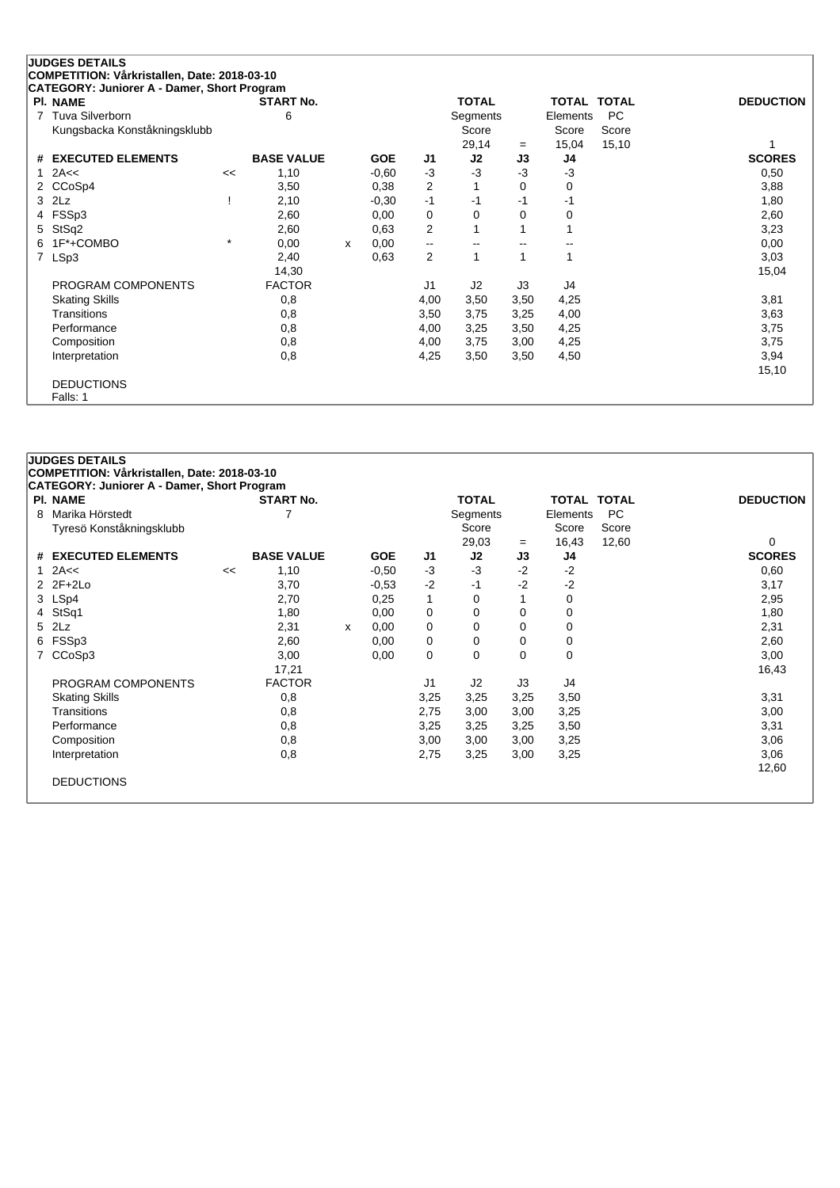|   | <b>JUDGES DETAILS</b>                                          |         |                   |   |            |                |              |      |              |              |                  |
|---|----------------------------------------------------------------|---------|-------------------|---|------------|----------------|--------------|------|--------------|--------------|------------------|
|   | COMPETITION: Vårkristallen, Date: 2018-03-10                   |         |                   |   |            |                |              |      |              |              |                  |
|   | CATEGORY: Juniorer A - Damer, Short Program<br><b>PI. NAME</b> |         | <b>START No.</b>  |   |            |                | <b>TOTAL</b> |      | <b>TOTAL</b> | <b>TOTAL</b> | <b>DEDUCTION</b> |
| 7 | Tuva Silverborn                                                |         | 6                 |   |            |                | Segments     |      | Elements     | <b>PC</b>    |                  |
|   | Kungsbacka Konståkningsklubb                                   |         |                   |   |            |                | Score        |      | Score        | Score        |                  |
|   |                                                                |         |                   |   |            |                | 29,14        | $=$  | 15,04        | 15,10        |                  |
| # | <b>EXECUTED ELEMENTS</b>                                       |         | <b>BASE VALUE</b> |   | <b>GOE</b> | J1             | J2           | J3   | J4           |              | <b>SCORES</b>    |
|   | 2A<<                                                           | <<      | 1,10              |   | $-0,60$    | $-3$           | $-3$         | $-3$ | $-3$         |              | 0,50             |
|   | CCoSp4                                                         |         | 3,50              |   | 0,38       | $\overline{2}$ |              | 0    | 0            |              | 3,88             |
|   | $3$ $2Lz$                                                      |         | 2,10              |   | $-0,30$    | $-1$           | -1           | -1   | -1           |              | 1,80             |
| 4 | FSSp3                                                          |         | 2,60              |   | 0,00       | 0              | 0            | 0    | 0            |              | 2,60             |
| 5 | StSq2                                                          |         | 2,60              |   | 0,63       | $\overline{2}$ |              |      |              |              | 3,23             |
| 6 | 1F*+COMBO                                                      | $\star$ | 0,00              | x | 0,00       | --             |              |      |              |              | 0,00             |
| 7 | LSp3                                                           |         | 2,40              |   | 0,63       | 2              |              | 1    |              |              | 3,03             |
|   |                                                                |         | 14,30             |   |            |                |              |      |              |              | 15,04            |
|   | PROGRAM COMPONENTS                                             |         | <b>FACTOR</b>     |   |            | J1             | J2           | J3   | J4           |              |                  |
|   | <b>Skating Skills</b>                                          |         | 0,8               |   |            | 4,00           | 3,50         | 3,50 | 4,25         |              | 3,81             |
|   | Transitions                                                    |         | 0,8               |   |            | 3,50           | 3,75         | 3,25 | 4,00         |              | 3,63             |
|   | Performance                                                    |         | 0,8               |   |            | 4,00           | 3,25         | 3,50 | 4,25         |              | 3,75             |
|   | Composition                                                    |         | 0,8               |   |            | 4,00           | 3,75         | 3,00 | 4,25         |              | 3,75             |
|   | Interpretation                                                 |         | 0,8               |   |            | 4,25           | 3,50         | 3,50 | 4,50         |              | 3,94             |
|   |                                                                |         |                   |   |            |                |              |      |              |              | 15,10            |
|   | <b>DEDUCTIONS</b>                                              |         |                   |   |            |                |              |      |              |              |                  |
|   | Falls: 1                                                       |         |                   |   |            |                |              |      |              |              |                  |

| PI. NAME                      |    | <b>START No.</b>  |   |            |                | <b>TOTAL</b> |          | <b>TOTAL TOTAL</b> |       | <b>DEDUCTION</b> |
|-------------------------------|----|-------------------|---|------------|----------------|--------------|----------|--------------------|-------|------------------|
| Marika Hörstedt<br>8          |    |                   |   |            |                | Segments     |          | Elements           | PC.   |                  |
| Tyresö Konståkningsklubb      |    |                   |   |            |                | Score        |          | Score              | Score |                  |
|                               |    |                   |   |            |                | 29,03        | $=$      | 16,43              | 12,60 | 0                |
| <b>EXECUTED ELEMENTS</b><br># |    | <b>BASE VALUE</b> |   | <b>GOE</b> | J1             | J2           | J3       | J4                 |       | <b>SCORES</b>    |
| 2A<<<br>$\mathbf{1}$          | << | 1,10              |   | $-0.50$    | -3             | $-3$         | $-2$     | $-2$               |       | 0,60             |
| $2$ $2F+2Lo$                  |    | 3,70              |   | $-0.53$    | $-2$           | $-1$         | $-2$     | $-2$               |       | 3,17             |
| 3 LSp4                        |    | 2,70              |   | 0,25       | 1              | 0            |          | $\mathbf 0$        |       | 2,95             |
| StSq1<br>4                    |    | 1,80              |   | 0,00       | 0              | 0            | 0        | 0                  |       | 1,80             |
| 5 2Lz                         |    | 2,31              | X | 0,00       | 0              | 0            | 0        | 0                  |       | 2,31             |
| FSSp3<br>6                    |    | 2,60              |   | 0,00       | 0              | 0            | 0        | 0                  |       | 2,60             |
| CCoSp3<br>7                   |    | 3,00              |   | 0,00       | 0              | 0            | $\Omega$ | $\mathbf 0$        |       | 3,00             |
|                               |    | 17,21             |   |            |                |              |          |                    |       | 16,43            |
| PROGRAM COMPONENTS            |    | <b>FACTOR</b>     |   |            | J <sub>1</sub> | J2           | J3       | J4                 |       |                  |
| <b>Skating Skills</b>         |    | 0,8               |   |            | 3,25           | 3,25         | 3,25     | 3,50               |       | 3,31             |
| <b>Transitions</b>            |    | 0,8               |   |            | 2,75           | 3,00         | 3,00     | 3,25               |       | 3,00             |
| Performance                   |    | 0,8               |   |            | 3,25           | 3,25         | 3,25     | 3,50               |       | 3,31             |
| Composition                   |    | 0,8               |   |            | 3,00           | 3,00         | 3,00     | 3,25               |       | 3,06             |
| Interpretation                |    | 0,8               |   |            | 2,75           | 3,25         | 3,00     | 3,25               |       | 3,06             |
|                               |    |                   |   |            |                |              |          |                    |       | 12,60            |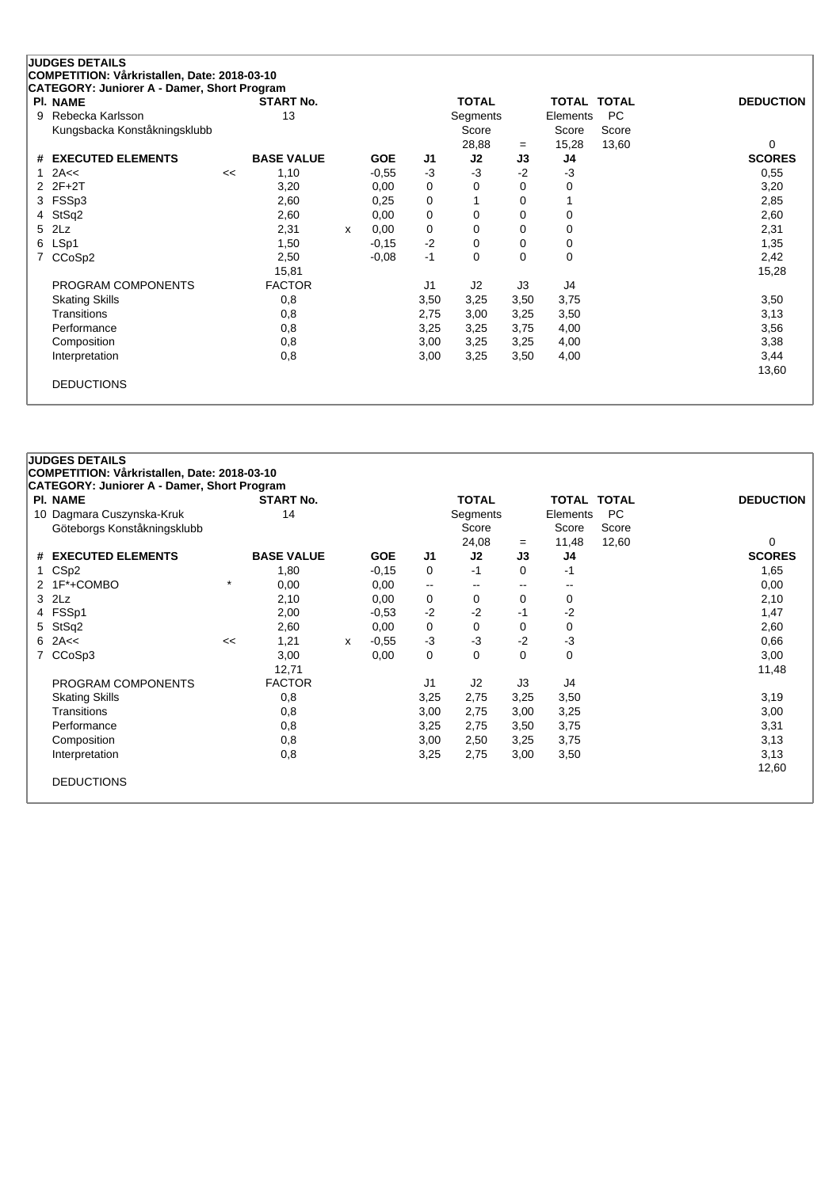| PI. NAME                      |    | <b>START No.</b>  |              |            |      | <b>TOTAL</b>   |          | <b>TOTAL</b>   | <b>TOTAL</b> | <b>DEDUCTION</b> |
|-------------------------------|----|-------------------|--------------|------------|------|----------------|----------|----------------|--------------|------------------|
| Rebecka Karlsson<br>9         |    | 13                |              |            |      | Segments       |          | Elements       | <b>PC</b>    |                  |
| Kungsbacka Konståkningsklubb  |    |                   |              |            |      | Score          |          | Score          | Score        |                  |
|                               |    |                   |              |            |      | 28,88          | $=$      | 15,28          | 13,60        | 0                |
| <b>EXECUTED ELEMENTS</b><br># |    | <b>BASE VALUE</b> |              | <b>GOE</b> | J1   | J2             | J3       | J4             |              | <b>SCORES</b>    |
| 2A<<                          | << | 1,10              |              | $-0,55$    | $-3$ | $-3$           | $-2$     | $-3$           |              | 0,55             |
| $2F+2T$<br>2.                 |    | 3,20              |              | 0,00       | 0    | 0              | 0        | 0              |              | 3,20             |
| FSSp3                         |    | 2,60              |              | 0,25       | 0    |                | 0        |                |              | 2,85             |
| StSq2<br>4                    |    | 2,60              |              | 0,00       | 0    | 0              | $\Omega$ | $\mathbf 0$    |              | 2,60             |
| 2Lz                           |    | 2,31              | $\mathsf{x}$ | 0,00       | 0    | 0              | $\Omega$ | 0              |              | 2,31             |
| LSp1                          |    | 1,50              |              | $-0,15$    | $-2$ | 0              | 0        | 0              |              | 1,35             |
| CCoSp2                        |    | 2,50              |              | $-0.08$    | $-1$ | 0              | $\Omega$ | 0              |              | 2,42             |
|                               |    | 15,81             |              |            |      |                |          |                |              | 15,28            |
| PROGRAM COMPONENTS            |    | <b>FACTOR</b>     |              |            | J1   | J <sub>2</sub> | J3       | J <sub>4</sub> |              |                  |
| <b>Skating Skills</b>         |    | 0,8               |              |            | 3,50 | 3,25           | 3,50     | 3,75           |              | 3,50             |
| Transitions                   |    | 0,8               |              |            | 2,75 | 3,00           | 3,25     | 3,50           |              | 3,13             |
| Performance                   |    | 0,8               |              |            | 3,25 | 3,25           | 3,75     | 4,00           |              | 3,56             |
| Composition                   |    | 0,8               |              |            | 3,00 | 3,25           | 3,25     | 4,00           |              | 3,38             |
| Interpretation                |    | 0,8               |              |            | 3,00 | 3,25           | 3,50     | 4,00           |              | 3,44             |
|                               |    |                   |              |            |      |                |          |                |              | 13,60            |

|              | <b>PI. NAME</b>             |         | <b>START No.</b>  |   |            |                          | <b>TOTAL</b> |                          | <b>TOTAL TOTAL</b> |           | <b>DEDUCTION</b> |
|--------------|-----------------------------|---------|-------------------|---|------------|--------------------------|--------------|--------------------------|--------------------|-----------|------------------|
|              | 10 Dagmara Cuszynska-Kruk   |         | 14                |   |            |                          | Segments     |                          | Elements           | <b>PC</b> |                  |
|              | Göteborgs Konståkningsklubb |         |                   |   |            |                          | Score        |                          | Score              | Score     |                  |
|              |                             |         |                   |   |            |                          | 24,08        | $=$                      | 11,48              | 12,60     | 0                |
|              | # EXECUTED ELEMENTS         |         | <b>BASE VALUE</b> |   | <b>GOE</b> | J1                       | J2           | J3                       | J4                 |           | <b>SCORES</b>    |
| $\mathbf{1}$ | CS <sub>p2</sub>            |         | 1,80              |   | $-0,15$    | 0                        | -1           | $\Omega$                 | -1                 |           | 1,65             |
|              | 2 1F*+COMBO                 | $\star$ | 0,00              |   | 0,00       | $\overline{\phantom{a}}$ |              | $\overline{\phantom{m}}$ | --                 |           | 0,00             |
| 3            | 2Lz                         |         | 2,10              |   | 0,00       | 0                        | 0            | 0                        | 0                  |           | 2,10             |
|              | FSSp1                       |         | 2,00              |   | $-0.53$    | $-2$                     | $-2$         | -1                       | $-2$               |           | 1,47             |
| 5.           | StSq2                       |         | 2,60              |   | 0,00       | 0                        | $\Omega$     | $\Omega$                 | 0                  |           | 2,60             |
| 6            | 2A<<                        | <<      | 1,21              | x | $-0.55$    | $-3$                     | $-3$         | $-2$                     | $-3$               |           | 0,66             |
| 7            | CCoSp3                      |         | 3,00              |   | 0,00       | 0                        | $\Omega$     | $\Omega$                 | 0                  |           | 3,00             |
|              |                             |         | 12,71             |   |            |                          |              |                          |                    |           | 11,48            |
|              | PROGRAM COMPONENTS          |         | <b>FACTOR</b>     |   |            | J1                       | J2           | J3                       | J4                 |           |                  |
|              | <b>Skating Skills</b>       |         | 0,8               |   |            | 3,25                     | 2,75         | 3,25                     | 3,50               |           | 3,19             |
|              | Transitions                 |         | 0,8               |   |            | 3,00                     | 2,75         | 3,00                     | 3,25               |           | 3,00             |
|              | Performance                 |         | 0,8               |   |            | 3,25                     | 2,75         | 3,50                     | 3,75               |           | 3,31             |
|              | Composition                 |         | 0,8               |   |            | 3,00                     | 2,50         | 3,25                     | 3,75               |           | 3,13             |
|              | Interpretation              |         | 0,8               |   |            | 3,25                     | 2,75         | 3,00                     | 3,50               |           | 3,13             |
|              |                             |         |                   |   |            |                          |              |                          |                    |           | 12,60            |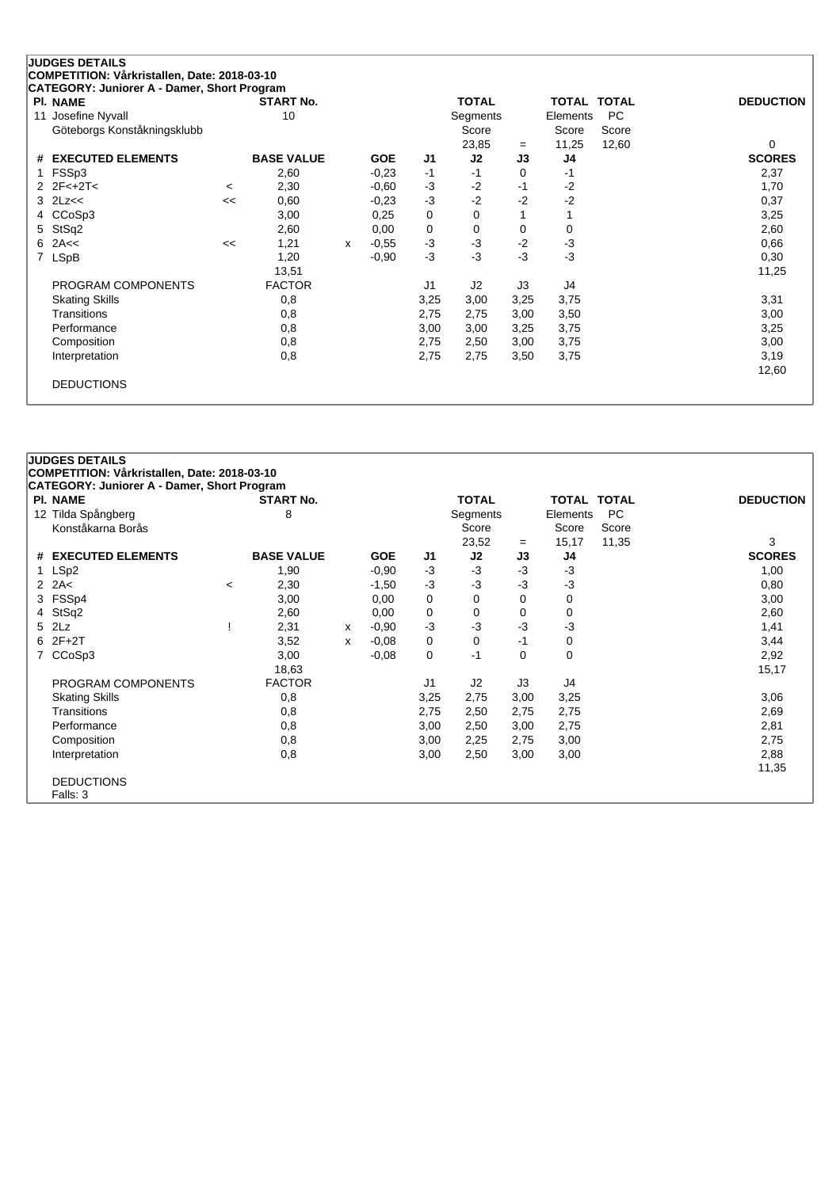| <b>PI. NAME</b>             |         | <b>START No.</b>  |   |            |      | <b>TOTAL</b> |      | <b>TOTAL</b>   | <b>TOTAL</b> | <b>DEDUCTION</b> |
|-----------------------------|---------|-------------------|---|------------|------|--------------|------|----------------|--------------|------------------|
| Josefine Nyvall<br>11       |         | 10                |   |            |      | Segments     |      | Elements       | <b>PC</b>    |                  |
| Göteborgs Konståkningsklubb |         |                   |   |            |      | Score        |      | Score          | Score        |                  |
|                             |         |                   |   |            |      | 23,85        | $=$  | 11,25          | 12,60        | $\Omega$         |
| # EXECUTED ELEMENTS         |         | <b>BASE VALUE</b> |   | <b>GOE</b> | J1   | J2           | J3   | J4             |              | <b>SCORES</b>    |
| FSSp3                       |         | 2,60              |   | $-0.23$    | $-1$ | $-1$         | 0    | $-1$           |              | 2,37             |
| $2 \t2F < +2T <$            | $\,<\,$ | 2,30              |   | $-0.60$    | -3   | $-2$         | $-1$ | $-2$           |              | 1,70             |
| 2Lz<<<br>3                  | <<      | 0,60              |   | $-0,23$    | $-3$ | $-2$         | $-2$ | $-2$           |              | 0,37             |
| CCoSp3                      |         | 3,00              |   | 0,25       | 0    | 0            |      |                |              | 3,25             |
| StSq2<br>5                  |         | 2,60              |   | 0,00       | 0    | 0            | 0    | 0              |              | 2,60             |
| 2A<<<br>6                   | <<      | 1,21              | X | $-0.55$    | $-3$ | $-3$         | $-2$ | $-3$           |              | 0,66             |
| LSpB<br>$\overline{7}$      |         | 1,20              |   | $-0,90$    | $-3$ | $-3$         | $-3$ | $-3$           |              | 0,30             |
|                             |         | 13,51             |   |            |      |              |      |                |              | 11,25            |
| PROGRAM COMPONENTS          |         | <b>FACTOR</b>     |   |            | J1   | J2           | J3   | J <sub>4</sub> |              |                  |
| <b>Skating Skills</b>       |         | 0,8               |   |            | 3,25 | 3,00         | 3,25 | 3,75           |              | 3,31             |
| Transitions                 |         | 0,8               |   |            | 2,75 | 2,75         | 3,00 | 3,50           |              | 3,00             |
| Performance                 |         | 0,8               |   |            | 3,00 | 3,00         | 3,25 | 3,75           |              | 3,25             |
| Composition                 |         | 0,8               |   |            | 2,75 | 2,50         | 3,00 | 3,75           |              | 3,00             |
| Interpretation              |         | 0,8               |   |            | 2,75 | 2,75         | 3,50 | 3,75           |              | 3,19             |
|                             |         |                   |   |            |      |              |      |                |              | 12,60            |

|                 | <b>JUDGES DETAILS</b>                        |         |                   |   |            |                |                |          |                    |           |                  |
|-----------------|----------------------------------------------|---------|-------------------|---|------------|----------------|----------------|----------|--------------------|-----------|------------------|
|                 | COMPETITION: Vårkristallen, Date: 2018-03-10 |         |                   |   |            |                |                |          |                    |           |                  |
|                 | CATEGORY: Juniorer A - Damer, Short Program  |         |                   |   |            |                |                |          |                    |           |                  |
|                 | PI. NAME                                     |         | <b>START No.</b>  |   |            |                | <b>TOTAL</b>   |          | <b>TOTAL TOTAL</b> |           | <b>DEDUCTION</b> |
| 12 <sup>2</sup> | Tilda Spångberg                              |         | 8                 |   |            |                | Segments       |          | Elements           | <b>PC</b> |                  |
|                 | Konståkarna Borås                            |         |                   |   |            |                | Score          |          | Score              | Score     |                  |
|                 |                                              |         |                   |   |            |                | 23,52          | $=$      | 15,17              | 11,35     | 3                |
| #               | <b>EXECUTED ELEMENTS</b>                     |         | <b>BASE VALUE</b> |   | <b>GOE</b> | J <sub>1</sub> | J2             | J3       | J <sub>4</sub>     |           | <b>SCORES</b>    |
| 1               | LSp2                                         |         | 1,90              |   | $-0.90$    | $-3$           | $-3$           | -3       | $-3$               |           | 1,00             |
|                 | 2 $2A<$                                      | $\,<\,$ | 2,30              |   | $-1,50$    | $-3$           | $-3$           | $-3$     | $-3$               |           | 0,80             |
|                 | 3 FSSp4                                      |         | 3,00              |   | 0,00       | 0              | 0              | 0        | 0                  |           | 3,00             |
| 4               | StSq2                                        |         | 2,60              |   | 0,00       | 0              | 0              | 0        | 0                  |           | 2,60             |
|                 | 5 2Lz                                        |         | 2,31              | x | $-0.90$    | $-3$           | $-3$           | $-3$     | $-3$               |           | 1,41             |
|                 | $6$ $2F+2T$                                  |         | 3,52              | x | $-0.08$    | 0              | 0              | $-1$     | 0                  |           | 3,44             |
| $\overline{7}$  | CCoSp3                                       |         | 3,00              |   | $-0.08$    | 0              | $-1$           | $\Omega$ | $\mathbf 0$        |           | 2,92             |
|                 |                                              |         | 18,63             |   |            |                |                |          |                    |           | 15,17            |
|                 | PROGRAM COMPONENTS                           |         | <b>FACTOR</b>     |   |            | J <sub>1</sub> | J <sub>2</sub> | J3       | J4                 |           |                  |
|                 | <b>Skating Skills</b>                        |         | 0,8               |   |            | 3,25           | 2,75           | 3,00     | 3,25               |           | 3,06             |
|                 | Transitions                                  |         | 0,8               |   |            | 2,75           | 2,50           | 2,75     | 2,75               |           | 2,69             |
|                 | Performance                                  |         | 0,8               |   |            | 3,00           | 2,50           | 3,00     | 2,75               |           | 2,81             |
|                 | Composition                                  |         | 0,8               |   |            | 3,00           | 2,25           | 2,75     | 3,00               |           | 2,75             |
|                 | Interpretation                               |         | 0,8               |   |            | 3,00           | 2,50           | 3,00     | 3,00               |           | 2,88             |
|                 |                                              |         |                   |   |            |                |                |          |                    |           | 11,35            |
|                 | <b>DEDUCTIONS</b>                            |         |                   |   |            |                |                |          |                    |           |                  |
|                 | Falls: 3                                     |         |                   |   |            |                |                |          |                    |           |                  |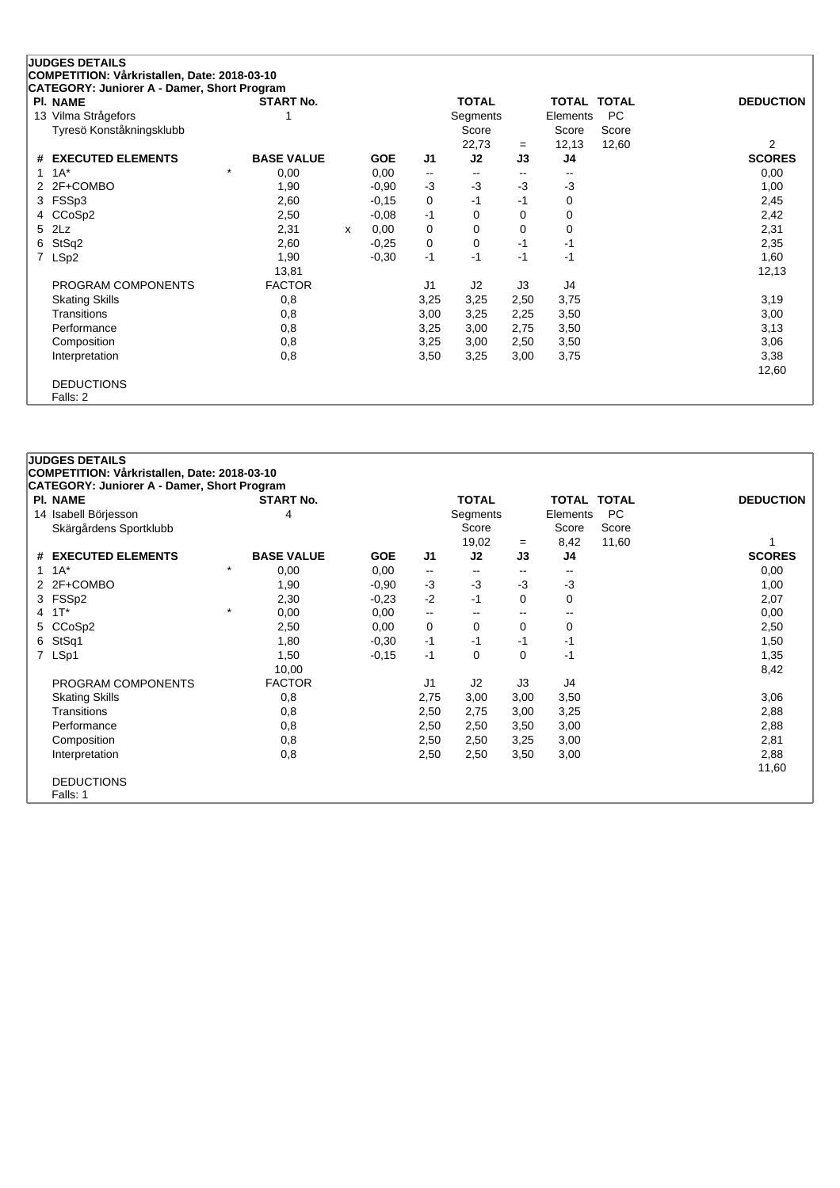| <b>CATEGORY: Juniorer A - Damer, Short Program</b><br><b>PI. NAME</b> | <b>START No.</b>  |   |            |          | <b>TOTAL</b>             |                          | TOTAL TOTAL |           | <b>DEDUCTION</b> |
|-----------------------------------------------------------------------|-------------------|---|------------|----------|--------------------------|--------------------------|-------------|-----------|------------------|
| 13 Vilma Strågefors                                                   |                   |   |            |          | Segments                 |                          | Elements    | <b>PC</b> |                  |
| Tyresö Konståkningsklubb                                              |                   |   |            |          | Score                    |                          | Score       | Score     |                  |
|                                                                       |                   |   |            |          | 22,73                    | $=$                      | 12,13       | 12,60     | $\overline{2}$   |
| <b>EXECUTED ELEMENTS</b><br>#                                         | <b>BASE VALUE</b> |   | <b>GOE</b> | J1       | J2                       | J3                       | J4          |           | <b>SCORES</b>    |
| $1A^*$                                                                | $\star$<br>0,00   |   | 0,00       | --       | $\overline{\phantom{a}}$ | $\overline{\phantom{a}}$ | --          |           | 0,00             |
| 2 2F+COMBO                                                            | 1,90              |   | $-0.90$    | $-3$     | -3                       | $-3$                     | $-3$        |           | 1,00             |
| FSSp3<br>3                                                            | 2,60              |   | $-0,15$    | 0        | $-1$                     | $-1$                     | 0           |           | 2,45             |
| 4 CCoSp2                                                              | 2,50              |   | $-0.08$    | $-1$     | 0                        | 0                        | 0           |           | 2,42             |
| 5 2Lz                                                                 | 2,31              | x | 0,00       | $\Omega$ | 0                        | 0                        | 0           |           | 2,31             |
| StSq2<br>6                                                            | 2,60              |   | $-0,25$    | 0        | 0                        | $-1$                     | $-1$        |           | 2,35             |
| 7 LSp2                                                                | 1,90              |   | $-0,30$    | $-1$     | -1                       | $-1$                     | $-1$        |           | 1,60             |
|                                                                       | 13,81             |   |            |          |                          |                          |             |           | 12,13            |
| PROGRAM COMPONENTS                                                    | <b>FACTOR</b>     |   |            | J1       | J <sub>2</sub>           | J3                       | J4          |           |                  |
| <b>Skating Skills</b>                                                 | 0,8               |   |            | 3,25     | 3,25                     | 2,50                     | 3,75        |           | 3,19             |
| Transitions                                                           | 0,8               |   |            | 3,00     | 3,25                     | 2,25                     | 3,50        |           | 3,00             |
| Performance                                                           | 0,8               |   |            | 3,25     | 3,00                     | 2,75                     | 3,50        |           | 3,13             |
| Composition                                                           | 0,8               |   |            | 3,25     | 3,00                     | 2,50                     | 3,50        |           | 3,06             |
| Interpretation                                                        | 0,8               |   |            | 3,50     | 3,25                     | 3,00                     | 3,75        |           | 3,38             |
|                                                                       |                   |   |            |          |                          |                          |             |           | 12,60            |

DEDUCTIONS Falls: 2

| <b>CATEGORY: Juniorer A - Damer, Short Program</b><br><b>PI. NAME</b> | <b>START No.</b>  |            |                | <b>TOTAL</b> |          | TOTAL TOTAL |           | <b>DEDUCTION</b> |
|-----------------------------------------------------------------------|-------------------|------------|----------------|--------------|----------|-------------|-----------|------------------|
| 14 Isabell Börjesson                                                  | 4                 |            |                | Segments     |          | Elements    | <b>PC</b> |                  |
| Skärgårdens Sportklubb                                                |                   |            |                | Score        |          | Score       | Score     |                  |
|                                                                       |                   |            |                | 19,02        | $=$      | 8,42        | 11,60     |                  |
| # EXECUTED ELEMENTS                                                   | <b>BASE VALUE</b> | <b>GOE</b> | J1             | J2           | J3       | J4          |           | <b>SCORES</b>    |
| $1 \t1A^*$                                                            | $\star$<br>0,00   | 0,00       | $\mathbf{u}$   |              | $- -$    |             |           | 0,00             |
| 2F+COMBO<br>2                                                         | 1,90              | $-0.90$    | $-3$           | $-3$         | $-3$     | $-3$        |           | 1,00             |
| FSS <sub>p2</sub><br>3                                                | 2,30              | $-0.23$    | $-2$           | $-1$         | $\Omega$ | $\Omega$    |           | 2,07             |
| $1T^*$<br>4                                                           | $\star$<br>0,00   | 0,00       | ۰.             | $-$          | --       |             |           | 0,00             |
| CCoSp2<br>5.                                                          | 2,50              | 0,00       | 0              | $\Omega$     | $\Omega$ | $\Omega$    |           | 2,50             |
| StSq1<br>6                                                            | 1,80              | $-0,30$    | $-1$           | $-1$         | $-1$     | -1          |           | 1,50             |
| 7 LSp1                                                                | 1,50              | $-0,15$    | $-1$           | 0            | $\Omega$ | -1          |           | 1,35             |
|                                                                       | 10,00             |            |                |              |          |             |           | 8,42             |
| PROGRAM COMPONENTS                                                    | <b>FACTOR</b>     |            | J <sub>1</sub> | J2           | J3       | J4          |           |                  |
| <b>Skating Skills</b>                                                 | 0,8               |            | 2,75           | 3,00         | 3,00     | 3,50        |           | 3,06             |
| Transitions                                                           | 0,8               |            | 2,50           | 2,75         | 3,00     | 3,25        |           | 2,88             |
| Performance                                                           | 0,8               |            | 2,50           | 2,50         | 3,50     | 3,00        |           | 2,88             |
| Composition                                                           | 0,8               |            | 2,50           | 2,50         | 3,25     | 3,00        |           | 2,81             |
| Interpretation                                                        | 0,8               |            | 2,50           | 2,50         | 3,50     | 3,00        |           | 2,88             |
|                                                                       |                   |            |                |              |          |             |           | 11,60            |